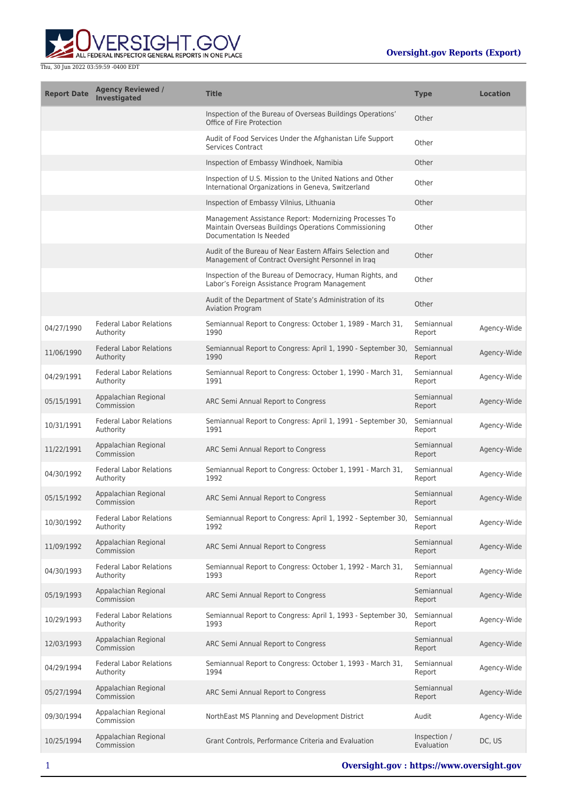

| <b>Report Date</b> | <b>Agency Reviewed /</b><br><b>Investigated</b> | <b>Title</b>                                                                                                                              | <b>Type</b>                | <b>Location</b> |
|--------------------|-------------------------------------------------|-------------------------------------------------------------------------------------------------------------------------------------------|----------------------------|-----------------|
|                    |                                                 | Inspection of the Bureau of Overseas Buildings Operations'<br>Office of Fire Protection                                                   | Other                      |                 |
|                    |                                                 | Audit of Food Services Under the Afghanistan Life Support<br><b>Services Contract</b>                                                     | Other                      |                 |
|                    |                                                 | Inspection of Embassy Windhoek, Namibia                                                                                                   | Other                      |                 |
|                    |                                                 | Inspection of U.S. Mission to the United Nations and Other<br>International Organizations in Geneva, Switzerland                          | Other                      |                 |
|                    |                                                 | Inspection of Embassy Vilnius, Lithuania                                                                                                  | Other                      |                 |
|                    |                                                 | Management Assistance Report: Modernizing Processes To<br>Maintain Overseas Buildings Operations Commissioning<br>Documentation Is Needed | Other                      |                 |
|                    |                                                 | Audit of the Bureau of Near Eastern Affairs Selection and<br>Management of Contract Oversight Personnel in Iraq                           | Other                      |                 |
|                    |                                                 | Inspection of the Bureau of Democracy, Human Rights, and<br>Labor's Foreign Assistance Program Management                                 | Other                      |                 |
|                    |                                                 | Audit of the Department of State's Administration of its<br><b>Aviation Program</b>                                                       | Other                      |                 |
| 04/27/1990         | <b>Federal Labor Relations</b><br>Authority     | Semiannual Report to Congress: October 1, 1989 - March 31,<br>1990                                                                        | Semiannual<br>Report       | Agency-Wide     |
| 11/06/1990         | <b>Federal Labor Relations</b><br>Authority     | Semiannual Report to Congress: April 1, 1990 - September 30,<br>1990                                                                      | Semiannual<br>Report       | Agency-Wide     |
| 04/29/1991         | <b>Federal Labor Relations</b><br>Authority     | Semiannual Report to Congress: October 1, 1990 - March 31,<br>1991                                                                        | Semiannual<br>Report       | Agency-Wide     |
| 05/15/1991         | Appalachian Regional<br>Commission              | ARC Semi Annual Report to Congress                                                                                                        | Semiannual<br>Report       | Agency-Wide     |
| 10/31/1991         | <b>Federal Labor Relations</b><br>Authority     | Semiannual Report to Congress: April 1, 1991 - September 30,<br>1991                                                                      | Semiannual<br>Report       | Agency-Wide     |
| 11/22/1991         | Appalachian Regional<br>Commission              | ARC Semi Annual Report to Congress                                                                                                        | Semiannual<br>Report       | Agency-Wide     |
| 04/30/1992         | <b>Federal Labor Relations</b><br>Authority     | Semiannual Report to Congress: October 1, 1991 - March 31,<br>1992                                                                        | Semiannual<br>Report       | Agency-Wide     |
| 05/15/1992         | Appalachian Regional<br>Commission              | ARC Semi Annual Report to Congress                                                                                                        | Semiannual<br>Report       | Agency-Wide     |
| 10/30/1992         | <b>Federal Labor Relations</b><br>Authority     | Semiannual Report to Congress: April 1, 1992 - September 30,<br>1992                                                                      | Semiannual<br>Report       | Agency-Wide     |
| 11/09/1992         | Appalachian Regional<br>Commission              | ARC Semi Annual Report to Congress                                                                                                        | Semiannual<br>Report       | Agency-Wide     |
| 04/30/1993         | <b>Federal Labor Relations</b><br>Authority     | Semiannual Report to Congress: October 1, 1992 - March 31,<br>1993                                                                        | Semiannual<br>Report       | Agency-Wide     |
| 05/19/1993         | Appalachian Regional<br>Commission              | ARC Semi Annual Report to Congress                                                                                                        | Semiannual<br>Report       | Agency-Wide     |
| 10/29/1993         | <b>Federal Labor Relations</b><br>Authority     | Semiannual Report to Congress: April 1, 1993 - September 30,<br>1993                                                                      | Semiannual<br>Report       | Agency-Wide     |
| 12/03/1993         | Appalachian Regional<br>Commission              | ARC Semi Annual Report to Congress                                                                                                        | Semiannual<br>Report       | Agency-Wide     |
| 04/29/1994         | <b>Federal Labor Relations</b><br>Authority     | Semiannual Report to Congress: October 1, 1993 - March 31,<br>1994                                                                        | Semiannual<br>Report       | Agency-Wide     |
| 05/27/1994         | Appalachian Regional<br>Commission              | ARC Semi Annual Report to Congress                                                                                                        | Semiannual<br>Report       | Agency-Wide     |
| 09/30/1994         | Appalachian Regional<br>Commission              | NorthEast MS Planning and Development District                                                                                            | Audit                      | Agency-Wide     |
| 10/25/1994         | Appalachian Regional<br>Commission              | Grant Controls, Performance Criteria and Evaluation                                                                                       | Inspection /<br>Evaluation | DC, US          |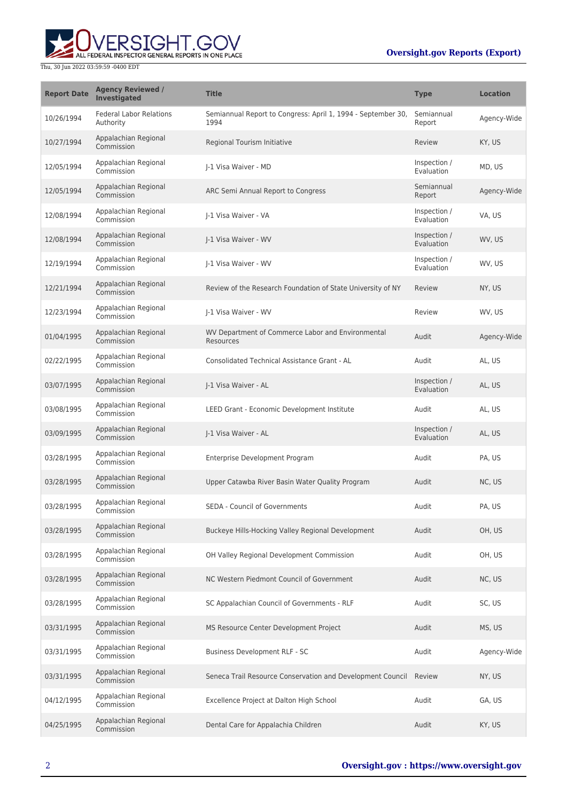# **Oversight.gov Reports (Export)**



| <b>Report Date</b> | <b>Agency Reviewed /</b><br><b>Investigated</b> | <b>Title</b>                                                         | <b>Type</b>                | <b>Location</b> |
|--------------------|-------------------------------------------------|----------------------------------------------------------------------|----------------------------|-----------------|
| 10/26/1994         | <b>Federal Labor Relations</b><br>Authority     | Semiannual Report to Congress: April 1, 1994 - September 30,<br>1994 | Semiannual<br>Report       | Agency-Wide     |
| 10/27/1994         | Appalachian Regional<br>Commission              | Regional Tourism Initiative                                          | Review                     | KY, US          |
| 12/05/1994         | Appalachian Regional<br>Commission              | I-1 Visa Waiver - MD                                                 | Inspection /<br>Evaluation | MD, US          |
| 12/05/1994         | Appalachian Regional<br>Commission              | ARC Semi Annual Report to Congress                                   | Semiannual<br>Report       | Agency-Wide     |
| 12/08/1994         | Appalachian Regional<br>Commission              | J-1 Visa Waiver - VA                                                 | Inspection /<br>Evaluation | VA, US          |
| 12/08/1994         | Appalachian Regional<br>Commission              | J-1 Visa Waiver - WV                                                 | Inspection /<br>Evaluation | WV, US          |
| 12/19/1994         | Appalachian Regional<br>Commission              | J-1 Visa Waiver - WV                                                 | Inspection /<br>Evaluation | WV, US          |
| 12/21/1994         | Appalachian Regional<br>Commission              | Review of the Research Foundation of State University of NY          | Review                     | NY, US          |
| 12/23/1994         | Appalachian Regional<br>Commission              | J-1 Visa Waiver - WV                                                 | Review                     | WV, US          |
| 01/04/1995         | Appalachian Regional<br>Commission              | WV Department of Commerce Labor and Environmental<br>Resources       | Audit                      | Agency-Wide     |
| 02/22/1995         | Appalachian Regional<br>Commission              | Consolidated Technical Assistance Grant - AL                         | Audit                      | AL, US          |
| 03/07/1995         | Appalachian Regional<br>Commission              | J-1 Visa Waiver - AL                                                 | Inspection /<br>Evaluation | AL, US          |
| 03/08/1995         | Appalachian Regional<br>Commission              | LEED Grant - Economic Development Institute                          | Audit                      | AL, US          |
| 03/09/1995         | Appalachian Regional<br>Commission              | J-1 Visa Waiver - AL                                                 | Inspection /<br>Evaluation | AL, US          |
| 03/28/1995         | Appalachian Regional<br>Commission              | Enterprise Development Program                                       | Audit                      | PA, US          |
| 03/28/1995         | Appalachian Regional<br>Commission              | Upper Catawba River Basin Water Quality Program                      | Audit                      | NC, US          |
| 03/28/1995         | Appalachian Regional<br>Commission              | <b>SEDA - Council of Governments</b>                                 | Audit                      | PA, US          |
| 03/28/1995         | Appalachian Regional<br>Commission              | Buckeye Hills-Hocking Valley Regional Development                    | Audit                      | OH, US          |
| 03/28/1995         | Appalachian Regional<br>Commission              | OH Valley Regional Development Commission                            | Audit                      | OH, US          |
| 03/28/1995         | Appalachian Regional<br>Commission              | NC Western Piedmont Council of Government                            | Audit                      | NC, US          |
| 03/28/1995         | Appalachian Regional<br>Commission              | SC Appalachian Council of Governments - RLF                          | Audit                      | SC, US          |
| 03/31/1995         | Appalachian Regional<br>Commission              | MS Resource Center Development Project                               | Audit                      | MS, US          |
| 03/31/1995         | Appalachian Regional<br>Commission              | Business Development RLF - SC                                        | Audit                      | Agency-Wide     |
| 03/31/1995         | Appalachian Regional<br>Commission              | Seneca Trail Resource Conservation and Development Council Review    |                            | NY, US          |
| 04/12/1995         | Appalachian Regional<br>Commission              | Excellence Project at Dalton High School                             | Audit                      | GA, US          |
| 04/25/1995         | Appalachian Regional<br>Commission              | Dental Care for Appalachia Children                                  | Audit                      | KY, US          |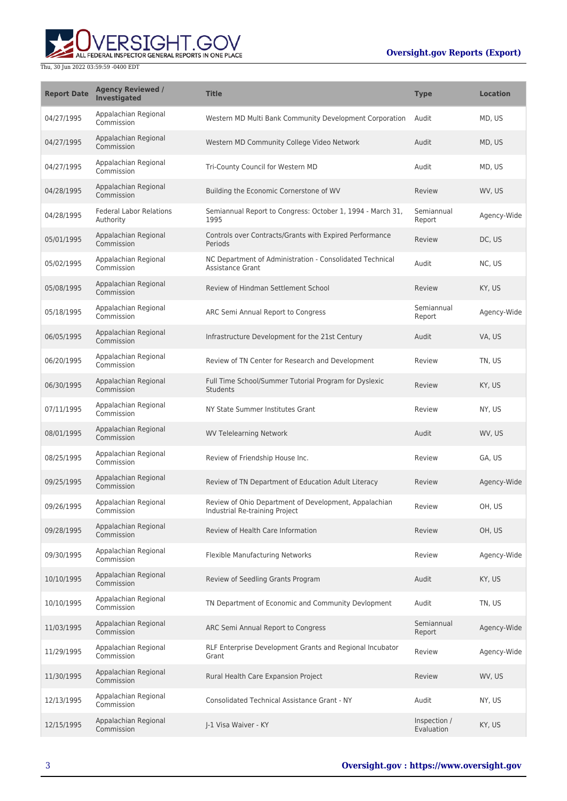# **Oversight.gov Reports (Export)**



| <b>Report Date</b> | <b>Agency Reviewed /</b><br><b>Investigated</b> | <b>Title</b>                                                                            | <b>Type</b>                | <b>Location</b> |
|--------------------|-------------------------------------------------|-----------------------------------------------------------------------------------------|----------------------------|-----------------|
| 04/27/1995         | Appalachian Regional<br>Commission              | Western MD Multi Bank Community Development Corporation                                 | Audit                      | MD, US          |
| 04/27/1995         | Appalachian Regional<br>Commission              | Western MD Community College Video Network                                              | Audit                      | MD, US          |
| 04/27/1995         | Appalachian Regional<br>Commission              | Tri-County Council for Western MD                                                       | Audit                      | MD, US          |
| 04/28/1995         | Appalachian Regional<br>Commission              | Building the Economic Cornerstone of WV                                                 | Review                     | WV, US          |
| 04/28/1995         | <b>Federal Labor Relations</b><br>Authority     | Semiannual Report to Congress: October 1, 1994 - March 31,<br>1995                      | Semiannual<br>Report       | Agency-Wide     |
| 05/01/1995         | Appalachian Regional<br>Commission              | Controls over Contracts/Grants with Expired Performance<br>Periods                      | Review                     | DC, US          |
| 05/02/1995         | Appalachian Regional<br>Commission              | NC Department of Administration - Consolidated Technical<br><b>Assistance Grant</b>     | Audit                      | NC, US          |
| 05/08/1995         | Appalachian Regional<br>Commission              | Review of Hindman Settlement School                                                     | Review                     | KY, US          |
| 05/18/1995         | Appalachian Regional<br>Commission              | ARC Semi Annual Report to Congress                                                      | Semiannual<br>Report       | Agency-Wide     |
| 06/05/1995         | Appalachian Regional<br>Commission              | Infrastructure Development for the 21st Century                                         | Audit                      | VA, US          |
| 06/20/1995         | Appalachian Regional<br>Commission              | Review of TN Center for Research and Development                                        | Review                     | TN, US          |
| 06/30/1995         | Appalachian Regional<br>Commission              | Full Time School/Summer Tutorial Program for Dyslexic<br><b>Students</b>                | Review                     | KY, US          |
| 07/11/1995         | Appalachian Regional<br>Commission              | NY State Summer Institutes Grant                                                        | Review                     | NY, US          |
| 08/01/1995         | Appalachian Regional<br>Commission              | <b>WV Telelearning Network</b>                                                          | Audit                      | WV, US          |
| 08/25/1995         | Appalachian Regional<br>Commission              | Review of Friendship House Inc.                                                         | Review                     | GA, US          |
| 09/25/1995         | Appalachian Regional<br>Commission              | Review of TN Department of Education Adult Literacy                                     | Review                     | Agency-Wide     |
| 09/26/1995         | Appalachian Regional<br>Commission              | Review of Ohio Department of Development, Appalachian<br>Industrial Re-training Project | Review                     | OH, US          |
| 09/28/1995         | Appalachian Regional<br>Commission              | Review of Health Care Information                                                       | Review                     | OH, US          |
| 09/30/1995         | Appalachian Regional<br>Commission              | Flexible Manufacturing Networks                                                         | Review                     | Agency-Wide     |
| 10/10/1995         | Appalachian Regional<br>Commission              | Review of Seedling Grants Program                                                       | Audit                      | KY, US          |
| 10/10/1995         | Appalachian Regional<br>Commission              | TN Department of Economic and Community Devlopment                                      | Audit                      | TN, US          |
| 11/03/1995         | Appalachian Regional<br>Commission              | ARC Semi Annual Report to Congress                                                      | Semiannual<br>Report       | Agency-Wide     |
| 11/29/1995         | Appalachian Regional<br>Commission              | RLF Enterprise Development Grants and Regional Incubator<br>Grant                       | Review                     | Agency-Wide     |
| 11/30/1995         | Appalachian Regional<br>Commission              | Rural Health Care Expansion Project                                                     | Review                     | WV, US          |
| 12/13/1995         | Appalachian Regional<br>Commission              | <b>Consolidated Technical Assistance Grant - NY</b>                                     | Audit                      | NY, US          |
| 12/15/1995         | Appalachian Regional<br>Commission              | J-1 Visa Waiver - KY                                                                    | Inspection /<br>Evaluation | KY, US          |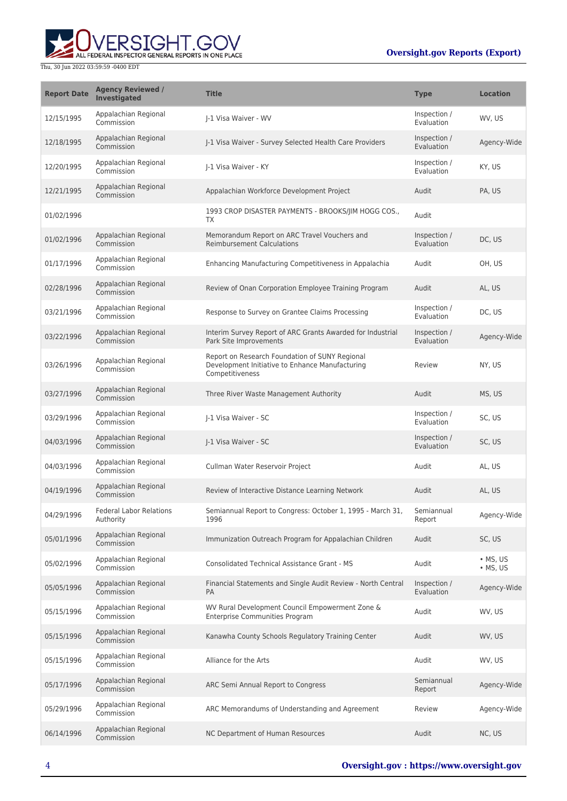

| <b>Report Date</b> | <b>Agency Reviewed /</b><br><b>Investigated</b> | <b>Title</b>                                                                                                         | <b>Type</b>                | <b>Location</b>                  |
|--------------------|-------------------------------------------------|----------------------------------------------------------------------------------------------------------------------|----------------------------|----------------------------------|
| 12/15/1995         | Appalachian Regional<br>Commission              | I-1 Visa Waiver - WV                                                                                                 | Inspection /<br>Evaluation | WV, US                           |
| 12/18/1995         | Appalachian Regional<br>Commission              | I-1 Visa Waiver - Survey Selected Health Care Providers                                                              | Inspection /<br>Evaluation | Agency-Wide                      |
| 12/20/1995         | Appalachian Regional<br>Commission              | I-1 Visa Waiver - KY                                                                                                 | Inspection /<br>Evaluation | KY, US                           |
| 12/21/1995         | Appalachian Regional<br>Commission              | Appalachian Workforce Development Project                                                                            | Audit                      | PA, US                           |
| 01/02/1996         |                                                 | 1993 CROP DISASTER PAYMENTS - BROOKS/JIM HOGG COS.,<br>TX                                                            | Audit                      |                                  |
| 01/02/1996         | Appalachian Regional<br>Commission              | Memorandum Report on ARC Travel Vouchers and<br><b>Reimbursement Calculations</b>                                    | Inspection /<br>Evaluation | DC, US                           |
| 01/17/1996         | Appalachian Regional<br>Commission              | Enhancing Manufacturing Competitiveness in Appalachia                                                                | Audit                      | OH, US                           |
| 02/28/1996         | Appalachian Regional<br>Commission              | Review of Onan Corporation Employee Training Program                                                                 | Audit                      | AL, US                           |
| 03/21/1996         | Appalachian Regional<br>Commission              | Response to Survey on Grantee Claims Processing                                                                      | Inspection /<br>Evaluation | DC, US                           |
| 03/22/1996         | Appalachian Regional<br>Commission              | Interim Survey Report of ARC Grants Awarded for Industrial<br>Park Site Improvements                                 | Inspection /<br>Evaluation | Agency-Wide                      |
| 03/26/1996         | Appalachian Regional<br>Commission              | Report on Research Foundation of SUNY Regional<br>Development Initiative to Enhance Manufacturing<br>Competitiveness | Review                     | NY, US                           |
| 03/27/1996         | Appalachian Regional<br>Commission              | Three River Waste Management Authority                                                                               | Audit                      | MS, US                           |
| 03/29/1996         | Appalachian Regional<br>Commission              | I-1 Visa Waiver - SC                                                                                                 | Inspection /<br>Evaluation | SC, US                           |
| 04/03/1996         | Appalachian Regional<br>Commission              | J-1 Visa Waiver - SC                                                                                                 | Inspection /<br>Evaluation | SC, US                           |
| 04/03/1996         | Appalachian Regional<br>Commission              | Cullman Water Reservoir Project                                                                                      | Audit                      | AL, US                           |
| 04/19/1996         | Appalachian Regional<br>Commission              | Review of Interactive Distance Learning Network                                                                      | Audit                      | AL, US                           |
| 04/29/1996         | <b>Federal Labor Relations</b><br>Authority     | Semiannual Report to Congress: October 1, 1995 - March 31,<br>1996                                                   | Semiannual<br>Report       | Agency-Wide                      |
| 05/01/1996         | Appalachian Regional<br>Commission              | Immunization Outreach Program for Appalachian Children                                                               | Audit                      | SC, US                           |
| 05/02/1996         | Appalachian Regional<br>Commission              | <b>Consolidated Technical Assistance Grant - MS</b>                                                                  | Audit                      | $\cdot$ MS, US<br>$\cdot$ MS, US |
| 05/05/1996         | Appalachian Regional<br>Commission              | Financial Statements and Single Audit Review - North Central<br><b>PA</b>                                            | Inspection /<br>Evaluation | Agency-Wide                      |
| 05/15/1996         | Appalachian Regional<br>Commission              | WV Rural Development Council Empowerment Zone &<br><b>Enterprise Communities Program</b>                             | Audit                      | WV, US                           |
| 05/15/1996         | Appalachian Regional<br>Commission              | Kanawha County Schools Regulatory Training Center                                                                    | Audit                      | WV, US                           |
| 05/15/1996         | Appalachian Regional<br>Commission              | Alliance for the Arts                                                                                                | Audit                      | WV, US                           |
| 05/17/1996         | Appalachian Regional<br>Commission              | ARC Semi Annual Report to Congress                                                                                   | Semiannual<br>Report       | Agency-Wide                      |
| 05/29/1996         | Appalachian Regional<br>Commission              | ARC Memorandums of Understanding and Agreement                                                                       | Review                     | Agency-Wide                      |
| 06/14/1996         | Appalachian Regional<br>Commission              | NC Department of Human Resources                                                                                     | Audit                      | NC, US                           |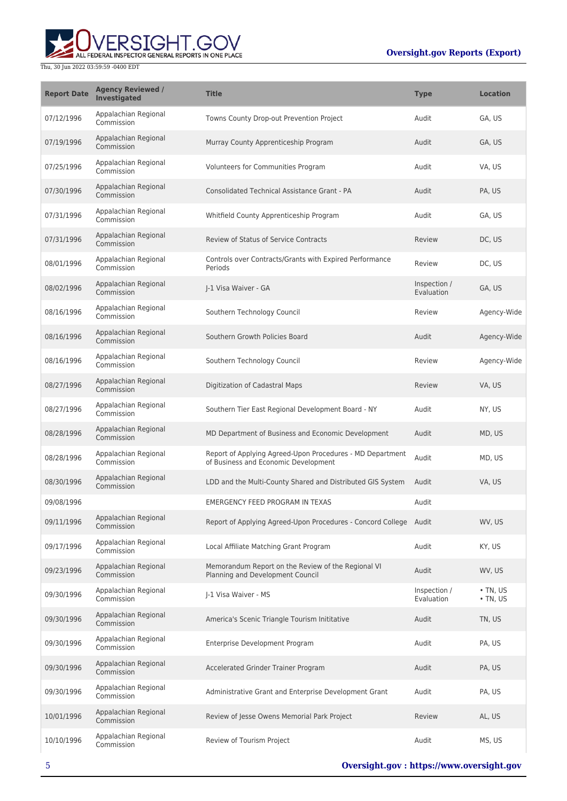

| <b>Report Date</b> | <b>Agency Reviewed /</b><br>Investigated | <b>Title</b>                                                                                      | <b>Type</b>                | <b>Location</b>                  |
|--------------------|------------------------------------------|---------------------------------------------------------------------------------------------------|----------------------------|----------------------------------|
| 07/12/1996         | Appalachian Regional<br>Commission       | Towns County Drop-out Prevention Project                                                          | Audit                      | GA, US                           |
| 07/19/1996         | Appalachian Regional<br>Commission       | Murray County Apprenticeship Program                                                              | Audit                      | GA, US                           |
| 07/25/1996         | Appalachian Regional<br>Commission       | Volunteers for Communities Program                                                                | Audit                      | VA, US                           |
| 07/30/1996         | Appalachian Regional<br>Commission       | Consolidated Technical Assistance Grant - PA                                                      | Audit                      | PA, US                           |
| 07/31/1996         | Appalachian Regional<br>Commission       | Whitfield County Apprenticeship Program                                                           | Audit                      | GA, US                           |
| 07/31/1996         | Appalachian Regional<br>Commission       | <b>Review of Status of Service Contracts</b>                                                      | Review                     | DC, US                           |
| 08/01/1996         | Appalachian Regional<br>Commission       | Controls over Contracts/Grants with Expired Performance<br>Periods                                | Review                     | DC, US                           |
| 08/02/1996         | Appalachian Regional<br>Commission       | I-1 Visa Waiver - GA                                                                              | Inspection /<br>Evaluation | GA, US                           |
| 08/16/1996         | Appalachian Regional<br>Commission       | Southern Technology Council                                                                       | Review                     | Agency-Wide                      |
| 08/16/1996         | Appalachian Regional<br>Commission       | Southern Growth Policies Board                                                                    | Audit                      | Agency-Wide                      |
| 08/16/1996         | Appalachian Regional<br>Commission       | Southern Technology Council                                                                       | Review                     | Agency-Wide                      |
| 08/27/1996         | Appalachian Regional<br>Commission       | Digitization of Cadastral Maps                                                                    | Review                     | VA, US                           |
| 08/27/1996         | Appalachian Regional<br>Commission       | Southern Tier East Regional Development Board - NY                                                | Audit                      | NY, US                           |
| 08/28/1996         | Appalachian Regional<br>Commission       | MD Department of Business and Economic Development                                                | Audit                      | MD, US                           |
| 08/28/1996         | Appalachian Regional<br>Commission       | Report of Applying Agreed-Upon Procedures - MD Department<br>of Business and Economic Development | Audit                      | MD, US                           |
| 08/30/1996         | Appalachian Regional<br>Commission       | LDD and the Multi-County Shared and Distributed GIS System                                        | Audit                      | VA, US                           |
| 09/08/1996         |                                          | EMERGENCY FEED PROGRAM IN TEXAS                                                                   | Audit                      |                                  |
| 09/11/1996         | Appalachian Regional<br>Commission       | Report of Applying Agreed-Upon Procedures - Concord College Audit                                 |                            | WV. US                           |
| 09/17/1996         | Appalachian Regional<br>Commission       | Local Affiliate Matching Grant Program                                                            | Audit                      | KY, US                           |
| 09/23/1996         | Appalachian Regional<br>Commission       | Memorandum Report on the Review of the Regional VI<br>Planning and Development Council            | Audit                      | WV, US                           |
| 09/30/1996         | Appalachian Regional<br>Commission       | I-1 Visa Waiver - MS                                                                              | Inspection /<br>Evaluation | $\cdot$ TN, US<br>$\cdot$ TN, US |
| 09/30/1996         | Appalachian Regional<br>Commission       | America's Scenic Triangle Tourism Inititative                                                     | Audit                      | TN, US                           |
| 09/30/1996         | Appalachian Regional<br>Commission       | Enterprise Development Program                                                                    | Audit                      | PA, US                           |
| 09/30/1996         | Appalachian Regional<br>Commission       | Accelerated Grinder Trainer Program                                                               | Audit                      | PA, US                           |
| 09/30/1996         | Appalachian Regional<br>Commission       | Administrative Grant and Enterprise Development Grant                                             | Audit                      | PA, US                           |
| 10/01/1996         | Appalachian Regional<br>Commission       | Review of Jesse Owens Memorial Park Project                                                       | Review                     | AL, US                           |
| 10/10/1996         | Appalachian Regional<br>Commission       | Review of Tourism Project                                                                         | Audit                      | MS, US                           |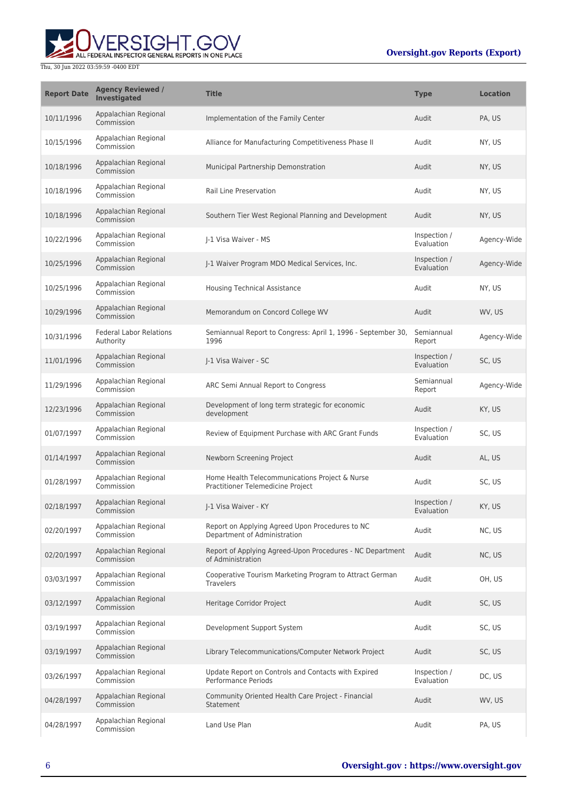

| <b>Report Date</b> | <b>Agency Reviewed /</b><br><b>Investigated</b> | <b>Title</b>                                                                        | <b>Type</b>                | <b>Location</b> |
|--------------------|-------------------------------------------------|-------------------------------------------------------------------------------------|----------------------------|-----------------|
| 10/11/1996         | Appalachian Regional<br>Commission              | Implementation of the Family Center                                                 | Audit                      | PA, US          |
| 10/15/1996         | Appalachian Regional<br>Commission              | Alliance for Manufacturing Competitiveness Phase II                                 | Audit                      | NY, US          |
| 10/18/1996         | Appalachian Regional<br>Commission              | Municipal Partnership Demonstration                                                 | Audit                      | NY, US          |
| 10/18/1996         | Appalachian Regional<br>Commission              | <b>Rail Line Preservation</b>                                                       | Audit                      | NY, US          |
| 10/18/1996         | Appalachian Regional<br>Commission              | Southern Tier West Regional Planning and Development                                | Audit                      | NY, US          |
| 10/22/1996         | Appalachian Regional<br>Commission              | J-1 Visa Waiver - MS                                                                | Inspection /<br>Evaluation | Agency-Wide     |
| 10/25/1996         | Appalachian Regional<br>Commission              | J-1 Waiver Program MDO Medical Services, Inc.                                       | Inspection /<br>Evaluation | Agency-Wide     |
| 10/25/1996         | Appalachian Regional<br>Commission              | Housing Technical Assistance                                                        | Audit                      | NY, US          |
| 10/29/1996         | Appalachian Regional<br>Commission              | Memorandum on Concord College WV                                                    | Audit                      | WV, US          |
| 10/31/1996         | <b>Federal Labor Relations</b><br>Authority     | Semiannual Report to Congress: April 1, 1996 - September 30,<br>1996                | Semiannual<br>Report       | Agency-Wide     |
| 11/01/1996         | Appalachian Regional<br>Commission              | J-1 Visa Waiver - SC                                                                | Inspection /<br>Evaluation | SC, US          |
| 11/29/1996         | Appalachian Regional<br>Commission              | ARC Semi Annual Report to Congress                                                  | Semiannual<br>Report       | Agency-Wide     |
| 12/23/1996         | Appalachian Regional<br>Commission              | Development of long term strategic for economic<br>development                      | Audit                      | KY, US          |
| 01/07/1997         | Appalachian Regional<br>Commission              | Review of Equipment Purchase with ARC Grant Funds                                   | Inspection /<br>Evaluation | SC, US          |
| 01/14/1997         | Appalachian Regional<br>Commission              | Newborn Screening Project                                                           | Audit                      | AL, US          |
| 01/28/1997         | Appalachian Regional<br>Commission              | Home Health Telecommunications Project & Nurse<br>Practitioner Telemedicine Project | Audit                      | SC, US          |
| 02/18/1997         | Appalachian Regional<br>Commission              | J-1 Visa Waiver - KY                                                                | Inspection /<br>Evaluation | KY, US          |
| 02/20/1997         | Appalachian Regional<br>Commission              | Report on Applying Agreed Upon Procedures to NC<br>Department of Administration     | Audit                      | NC, US          |
| 02/20/1997         | Appalachian Regional<br>Commission              | Report of Applying Agreed-Upon Procedures - NC Department<br>of Administration      | Audit                      | NC, US          |
| 03/03/1997         | Appalachian Regional<br>Commission              | Cooperative Tourism Marketing Program to Attract German<br><b>Travelers</b>         | Audit                      | OH, US          |
| 03/12/1997         | Appalachian Regional<br>Commission              | Heritage Corridor Project                                                           | Audit                      | SC, US          |
| 03/19/1997         | Appalachian Regional<br>Commission              | Development Support System                                                          | Audit                      | SC, US          |
| 03/19/1997         | Appalachian Regional<br>Commission              | Library Telecommunications/Computer Network Project                                 | Audit                      | SC, US          |
| 03/26/1997         | Appalachian Regional<br>Commission              | Update Report on Controls and Contacts with Expired<br>Performance Periods          | Inspection /<br>Evaluation | DC, US          |
| 04/28/1997         | Appalachian Regional<br>Commission              | Community Oriented Health Care Project - Financial<br>Statement                     | Audit                      | WV, US          |
| 04/28/1997         | Appalachian Regional<br>Commission              | Land Use Plan                                                                       | Audit                      | PA, US          |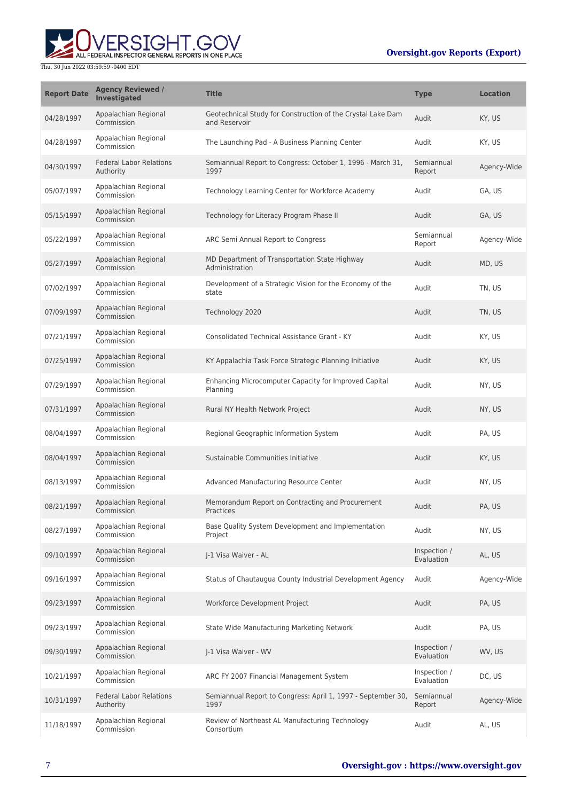ALL FEDERAL INSPECTOR GENERAL REPORTS IN ONE PLACE

| <b>Report Date</b> | <b>Agency Reviewed /</b><br><b>Investigated</b> | <b>Title</b>                                                                 | <b>Type</b>                | <b>Location</b> |
|--------------------|-------------------------------------------------|------------------------------------------------------------------------------|----------------------------|-----------------|
| 04/28/1997         | Appalachian Regional<br>Commission              | Geotechnical Study for Construction of the Crystal Lake Dam<br>and Reservoir | Audit                      | KY, US          |
| 04/28/1997         | Appalachian Regional<br>Commission              | The Launching Pad - A Business Planning Center                               | Audit                      | KY, US          |
| 04/30/1997         | <b>Federal Labor Relations</b><br>Authority     | Semiannual Report to Congress: October 1, 1996 - March 31,<br>1997           | Semiannual<br>Report       | Agency-Wide     |
| 05/07/1997         | Appalachian Regional<br>Commission              | Technology Learning Center for Workforce Academy                             | Audit                      | GA, US          |
| 05/15/1997         | Appalachian Regional<br>Commission              | Technology for Literacy Program Phase II                                     | Audit                      | GA, US          |
| 05/22/1997         | Appalachian Regional<br>Commission              | ARC Semi Annual Report to Congress                                           | Semiannual<br>Report       | Agency-Wide     |
| 05/27/1997         | Appalachian Regional<br>Commission              | MD Department of Transportation State Highway<br>Administration              | Audit                      | MD, US          |
| 07/02/1997         | Appalachian Regional<br>Commission              | Development of a Strategic Vision for the Economy of the<br>state            | Audit                      | TN, US          |
| 07/09/1997         | Appalachian Regional<br>Commission              | Technology 2020                                                              | Audit                      | TN, US          |
| 07/21/1997         | Appalachian Regional<br>Commission              | Consolidated Technical Assistance Grant - KY                                 | Audit                      | KY, US          |
| 07/25/1997         | Appalachian Regional<br>Commission              | KY Appalachia Task Force Strategic Planning Initiative                       | Audit                      | KY, US          |
| 07/29/1997         | Appalachian Regional<br>Commission              | Enhancing Microcomputer Capacity for Improved Capital<br>Planning            | Audit                      | NY, US          |
| 07/31/1997         | Appalachian Regional<br>Commission              | Rural NY Health Network Project                                              | Audit                      | NY, US          |
| 08/04/1997         | Appalachian Regional<br>Commission              | Regional Geographic Information System                                       | Audit                      | PA, US          |
| 08/04/1997         | Appalachian Regional<br>Commission              | Sustainable Communities Initiative                                           | Audit                      | KY, US          |
| 08/13/1997         | Appalachian Regional<br>Commission              | Advanced Manufacturing Resource Center                                       | Audit                      | NY, US          |
| 08/21/1997         | Appalachian Regional<br>Commission              | Memorandum Report on Contracting and Procurement<br>Practices                | Audit                      | PA, US          |
| 08/27/1997         | Appalachian Regional<br>Commission              | Base Quality System Development and Implementation<br>Project                | Audit                      | NY, US          |
| 09/10/1997         | Appalachian Regional<br>Commission              | I-1 Visa Waiver - AL                                                         | Inspection /<br>Evaluation | AL, US          |
| 09/16/1997         | Appalachian Regional<br>Commission              | Status of Chautauqua County Industrial Development Agency                    | Audit                      | Agency-Wide     |
| 09/23/1997         | Appalachian Regional<br>Commission              | Workforce Development Project                                                | Audit                      | PA, US          |
| 09/23/1997         | Appalachian Regional<br>Commission              | State Wide Manufacturing Marketing Network                                   | Audit                      | PA, US          |
| 09/30/1997         | Appalachian Regional<br>Commission              | I-1 Visa Waiver - WV                                                         | Inspection /<br>Evaluation | WV, US          |
| 10/21/1997         | Appalachian Regional<br>Commission              | ARC FY 2007 Financial Management System                                      | Inspection /<br>Evaluation | DC, US          |
| 10/31/1997         | <b>Federal Labor Relations</b><br>Authority     | Semiannual Report to Congress: April 1, 1997 - September 30,<br>1997         | Semiannual<br>Report       | Agency-Wide     |
| 11/18/1997         | Appalachian Regional<br>Commission              | Review of Northeast AL Manufacturing Technology<br>Consortium                | Audit                      | AL, US          |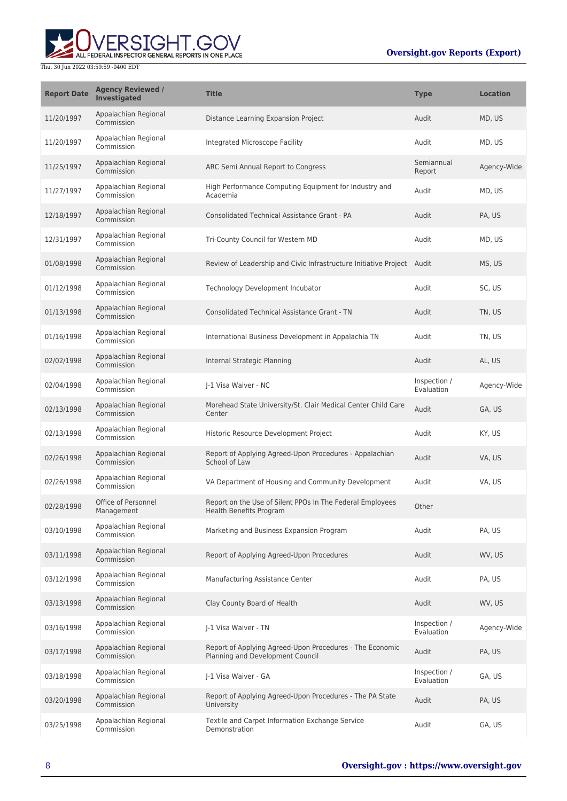

| <b>Report Date</b> | <b>Agency Reviewed /</b><br><b>Investigated</b> | <b>Title</b>                                                                                 | <b>Type</b>                | <b>Location</b> |
|--------------------|-------------------------------------------------|----------------------------------------------------------------------------------------------|----------------------------|-----------------|
| 11/20/1997         | Appalachian Regional<br>Commission              | Distance Learning Expansion Project                                                          | Audit                      | MD, US          |
| 11/20/1997         | Appalachian Regional<br>Commission              | Integrated Microscope Facility                                                               | Audit                      | MD, US          |
| 11/25/1997         | Appalachian Regional<br>Commission              | ARC Semi Annual Report to Congress                                                           | Semiannual<br>Report       | Agency-Wide     |
| 11/27/1997         | Appalachian Regional<br>Commission              | High Performance Computing Equipment for Industry and<br>Academia                            | Audit                      | MD, US          |
| 12/18/1997         | Appalachian Regional<br>Commission              | <b>Consolidated Technical Assistance Grant - PA</b>                                          | Audit                      | PA, US          |
| 12/31/1997         | Appalachian Regional<br>Commission              | Tri-County Council for Western MD                                                            | Audit                      | MD, US          |
| 01/08/1998         | Appalachian Regional<br>Commission              | Review of Leadership and Civic Infrastructure Initiative Project Audit                       |                            | MS, US          |
| 01/12/1998         | Appalachian Regional<br>Commission              | Technology Development Incubator                                                             | Audit                      | SC, US          |
| 01/13/1998         | Appalachian Regional<br>Commission              | <b>Consolidated Technical Assistance Grant - TN</b>                                          | Audit                      | TN, US          |
| 01/16/1998         | Appalachian Regional<br>Commission              | International Business Development in Appalachia TN                                          | Audit                      | TN, US          |
| 02/02/1998         | Appalachian Regional<br>Commission              | Internal Strategic Planning                                                                  | Audit                      | AL, US          |
| 02/04/1998         | Appalachian Regional<br>Commission              | J-1 Visa Waiver - NC                                                                         | Inspection /<br>Evaluation | Agency-Wide     |
| 02/13/1998         | Appalachian Regional<br>Commission              | Morehead State University/St. Clair Medical Center Child Care<br>Center                      | Audit                      | GA, US          |
| 02/13/1998         | Appalachian Regional<br>Commission              | Historic Resource Development Project                                                        | Audit                      | KY, US          |
| 02/26/1998         | Appalachian Regional<br>Commission              | Report of Applying Agreed-Upon Procedures - Appalachian<br>School of Law                     | Audit                      | VA, US          |
| 02/26/1998         | Appalachian Regional<br>Commission              | VA Department of Housing and Community Development                                           | Audit                      | VA, US          |
| 02/28/1998         | Office of Personnel<br>Management               | Report on the Use of Silent PPOs In The Federal Employees<br><b>Health Benefits Program</b>  | Other                      |                 |
| 03/10/1998         | Appalachian Regional<br>Commission              | Marketing and Business Expansion Program                                                     | Audit                      | PA, US          |
| 03/11/1998         | Appalachian Regional<br>Commission              | Report of Applying Agreed-Upon Procedures                                                    | Audit                      | WV, US          |
| 03/12/1998         | Appalachian Regional<br>Commission              | Manufacturing Assistance Center                                                              | Audit                      | PA, US          |
| 03/13/1998         | Appalachian Regional<br>Commission              | Clay County Board of Health                                                                  | Audit                      | WV, US          |
| 03/16/1998         | Appalachian Regional<br>Commission              | I-1 Visa Waiver - TN                                                                         | Inspection /<br>Evaluation | Agency-Wide     |
| 03/17/1998         | Appalachian Regional<br>Commission              | Report of Applying Agreed-Upon Procedures - The Economic<br>Planning and Development Council | Audit                      | PA, US          |
| 03/18/1998         | Appalachian Regional<br>Commission              | J-1 Visa Waiver - GA                                                                         | Inspection /<br>Evaluation | GA, US          |
| 03/20/1998         | Appalachian Regional<br>Commission              | Report of Applying Agreed-Upon Procedures - The PA State<br>University                       | Audit                      | PA, US          |
| 03/25/1998         | Appalachian Regional<br>Commission              | Textile and Carpet Information Exchange Service<br>Demonstration                             | Audit                      | GA, US          |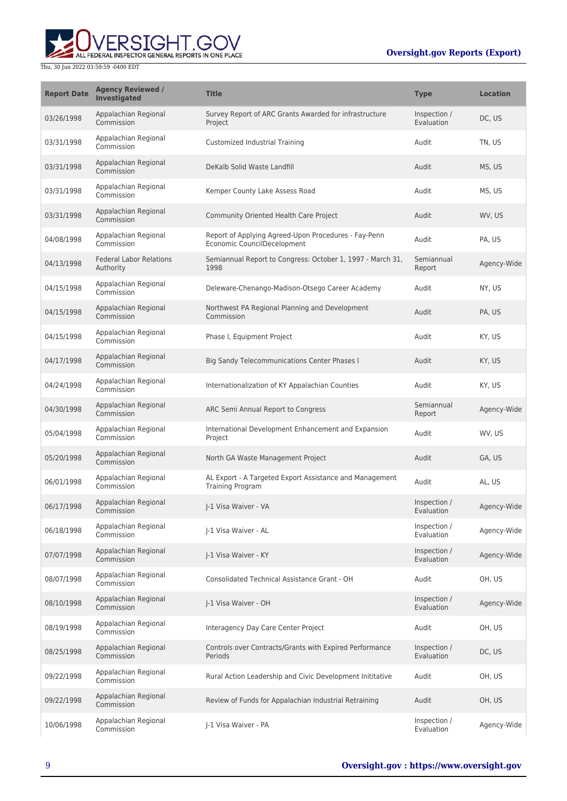

| <b>Report Date</b> | <b>Agency Reviewed /</b><br><b>Investigated</b> | <b>Title</b>                                                                        | <b>Type</b>                | <b>Location</b> |
|--------------------|-------------------------------------------------|-------------------------------------------------------------------------------------|----------------------------|-----------------|
| 03/26/1998         | Appalachian Regional<br>Commission              | Survey Report of ARC Grants Awarded for infrastructure<br>Project                   | Inspection /<br>Evaluation | DC, US          |
| 03/31/1998         | Appalachian Regional<br>Commission              | Customized Industrial Training                                                      | Audit                      | TN, US          |
| 03/31/1998         | Appalachian Regional<br>Commission              | DeKalb Solid Waste Landfill                                                         | Audit                      | MS, US          |
| 03/31/1998         | Appalachian Regional<br>Commission              | Kemper County Lake Assess Road                                                      | Audit                      | MS, US          |
| 03/31/1998         | Appalachian Regional<br>Commission              | Community Oriented Health Care Project                                              | Audit                      | WV, US          |
| 04/08/1998         | Appalachian Regional<br>Commission              | Report of Applying Agreed-Upon Procedures - Fay-Penn<br>Economic CouncilDecelopment | Audit                      | PA, US          |
| 04/13/1998         | <b>Federal Labor Relations</b><br>Authority     | Semiannual Report to Congress: October 1, 1997 - March 31,<br>1998                  | Semiannual<br>Report       | Agency-Wide     |
| 04/15/1998         | Appalachian Regional<br>Commission              | Deleware-Chenango-Madison-Otsego Career Academy                                     | Audit                      | NY, US          |
| 04/15/1998         | Appalachian Regional<br>Commission              | Northwest PA Regional Planning and Development<br>Commission                        | Audit                      | PA, US          |
| 04/15/1998         | Appalachian Regional<br>Commission              | Phase I, Equipment Project                                                          | Audit                      | KY, US          |
| 04/17/1998         | Appalachian Regional<br>Commission              | Big Sandy Telecommunications Center Phases I                                        | Audit                      | KY, US          |
| 04/24/1998         | Appalachian Regional<br>Commission              | Internationalization of KY Appalachian Counties                                     | Audit                      | KY, US          |
| 04/30/1998         | Appalachian Regional<br>Commission              | ARC Semi Annual Report to Congress                                                  | Semiannual<br>Report       | Agency-Wide     |
| 05/04/1998         | Appalachian Regional<br>Commission              | International Development Enhancement and Expansion<br>Project                      | Audit                      | WV, US          |
| 05/20/1998         | Appalachian Regional<br>Commission              | North GA Waste Management Project                                                   | Audit                      | GA, US          |
| 06/01/1998         | Appalachian Regional<br>Commission              | AL Export - A Targeted Export Assistance and Management<br><b>Training Program</b>  | Audit                      | AL, US          |
| 06/17/1998         | Appalachian Regional<br>Commission              | I-1 Visa Waiver - VA                                                                | Inspection /<br>Evaluation | Agency-Wide     |
| 06/18/1998         | Appalachian Regional<br>Commission              | I-1 Visa Waiver - AL                                                                | Inspection /<br>Evaluation | Agency-Wide     |
| 07/07/1998         | Appalachian Regional<br>Commission              | J-1 Visa Waiver - KY                                                                | Inspection /<br>Evaluation | Agency-Wide     |
| 08/07/1998         | Appalachian Regional<br>Commission              | Consolidated Technical Assistance Grant - OH                                        | Audit                      | OH, US          |
| 08/10/1998         | Appalachian Regional<br>Commission              | J-1 Visa Waiver - OH                                                                | Inspection /<br>Evaluation | Agency-Wide     |
| 08/19/1998         | Appalachian Regional<br>Commission              | Interagency Day Care Center Project                                                 | Audit                      | OH, US          |
| 08/25/1998         | Appalachian Regional<br>Commission              | Controls over Contracts/Grants with Expired Performance<br>Periods                  | Inspection /<br>Evaluation | DC, US          |
| 09/22/1998         | Appalachian Regional<br>Commission              | Rural Action Leadership and Civic Development Inititative                           | Audit                      | OH, US          |
| 09/22/1998         | Appalachian Regional<br>Commission              | Review of Funds for Appalachian Industrial Retraining                               | Audit                      | OH, US          |
| 10/06/1998         | Appalachian Regional<br>Commission              | J-1 Visa Waiver - PA                                                                | Inspection /<br>Evaluation | Agency-Wide     |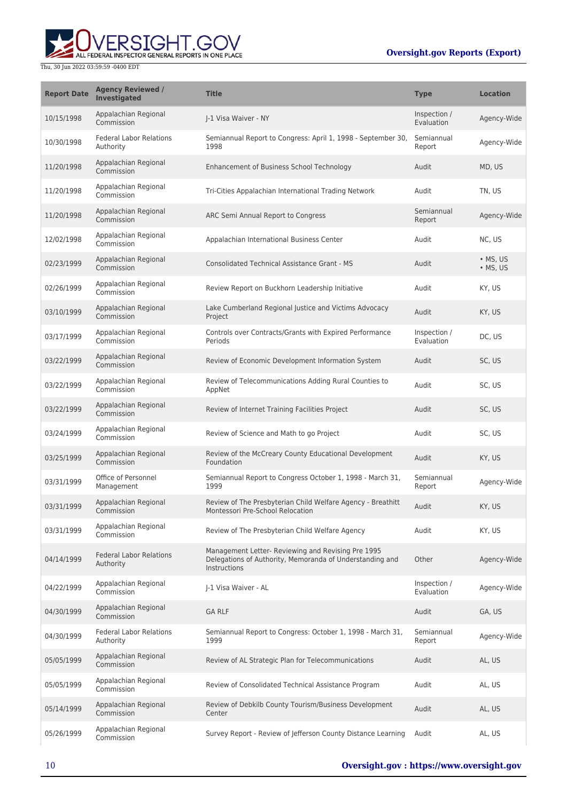# UVERSIGHT.GOV

| <b>Report Date</b> | <b>Agency Reviewed /</b><br><b>Investigated</b> | <b>Title</b>                                                                                                                   | <b>Type</b>                | <b>Location</b>      |
|--------------------|-------------------------------------------------|--------------------------------------------------------------------------------------------------------------------------------|----------------------------|----------------------|
| 10/15/1998         | Appalachian Regional<br>Commission              | I-1 Visa Waiver - NY                                                                                                           | Inspection /<br>Evaluation | Agency-Wide          |
| 10/30/1998         | <b>Federal Labor Relations</b><br>Authority     | Semiannual Report to Congress: April 1, 1998 - September 30,<br>1998                                                           | Semiannual<br>Report       | Agency-Wide          |
| 11/20/1998         | Appalachian Regional<br>Commission              | Enhancement of Business School Technology                                                                                      | Audit                      | MD, US               |
| 11/20/1998         | Appalachian Regional<br>Commission              | Tri-Cities Appalachian International Trading Network                                                                           | Audit                      | TN, US               |
| 11/20/1998         | Appalachian Regional<br>Commission              | ARC Semi Annual Report to Congress                                                                                             | Semiannual<br>Report       | Agency-Wide          |
| 12/02/1998         | Appalachian Regional<br>Commission              | Appalachian International Business Center                                                                                      | Audit                      | NC, US               |
| 02/23/1999         | Appalachian Regional<br>Commission              | <b>Consolidated Technical Assistance Grant - MS</b>                                                                            | Audit                      | • MS, US<br>• MS, US |
| 02/26/1999         | Appalachian Regional<br>Commission              | Review Report on Buckhorn Leadership Initiative                                                                                | Audit                      | KY, US               |
| 03/10/1999         | Appalachian Regional<br>Commission              | Lake Cumberland Regional Justice and Victims Advocacy<br>Project                                                               | Audit                      | KY, US               |
| 03/17/1999         | Appalachian Regional<br>Commission              | Controls over Contracts/Grants with Expired Performance<br><b>Periods</b>                                                      | Inspection /<br>Evaluation | DC, US               |
| 03/22/1999         | Appalachian Regional<br>Commission              | Review of Economic Development Information System                                                                              | Audit                      | SC, US               |
| 03/22/1999         | Appalachian Regional<br>Commission              | Review of Telecommunications Adding Rural Counties to<br>AppNet                                                                | Audit                      | SC, US               |
| 03/22/1999         | Appalachian Regional<br>Commission              | Review of Internet Training Facilities Project                                                                                 | Audit                      | SC, US               |
| 03/24/1999         | Appalachian Regional<br>Commission              | Review of Science and Math to go Project                                                                                       | Audit                      | SC, US               |
| 03/25/1999         | Appalachian Regional<br>Commission              | Review of the McCreary County Educational Development<br>Foundation                                                            | Audit                      | KY, US               |
| 03/31/1999         | Office of Personnel<br>Management               | Semiannual Report to Congress October 1, 1998 - March 31,<br>1999                                                              | Semiannual<br>Report       | Agency-Wide          |
| 03/31/1999         | Appalachian Regional<br>Commission              | Review of The Presbyterian Child Welfare Agency - Breathitt<br>Montessori Pre-School Relocation                                | Audit                      | KY, US               |
| 03/31/1999         | Appalachian Regional<br>Commission              | Review of The Presbyterian Child Welfare Agency                                                                                | Audit                      | KY, US               |
| 04/14/1999         | <b>Federal Labor Relations</b><br>Authority     | Management Letter- Reviewing and Revising Pre 1995<br>Delegations of Authority, Memoranda of Understanding and<br>Instructions | Other                      | Agency-Wide          |
| 04/22/1999         | Appalachian Regional<br>Commission              | J-1 Visa Waiver - AL                                                                                                           | Inspection /<br>Evaluation | Agency-Wide          |
| 04/30/1999         | Appalachian Regional<br>Commission              | <b>GA RLF</b>                                                                                                                  | Audit                      | GA, US               |
| 04/30/1999         | <b>Federal Labor Relations</b><br>Authority     | Semiannual Report to Congress: October 1, 1998 - March 31,<br>1999                                                             | Semiannual<br>Report       | Agency-Wide          |
| 05/05/1999         | Appalachian Regional<br>Commission              | Review of AL Strategic Plan for Telecommunications                                                                             | Audit                      | AL, US               |
| 05/05/1999         | Appalachian Regional<br>Commission              | Review of Consolidated Technical Assistance Program                                                                            | Audit                      | AL, US               |
| 05/14/1999         | Appalachian Regional<br>Commission              | Review of Debkilb County Tourism/Business Development<br>Center                                                                | Audit                      | AL, US               |
| 05/26/1999         | Appalachian Regional<br>Commission              | Survey Report - Review of Jefferson County Distance Learning                                                                   | Audit                      | AL, US               |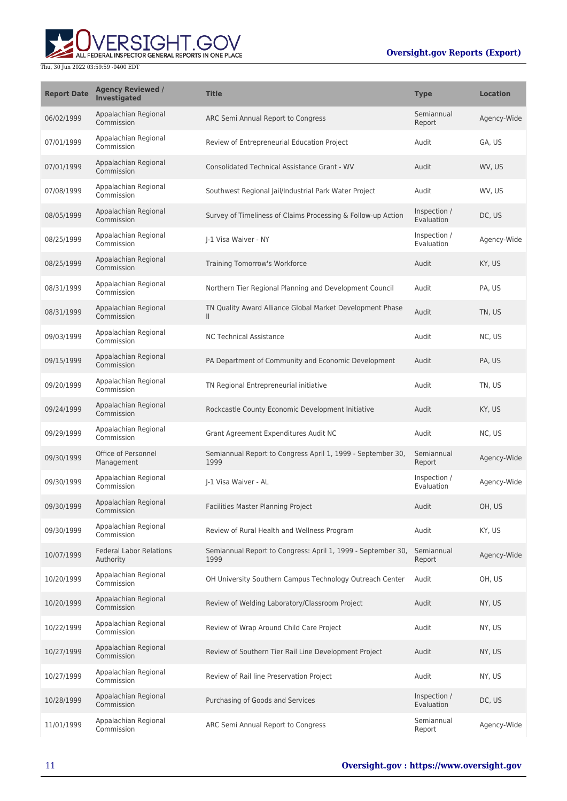

| <b>Report Date</b> | <b>Agency Reviewed /</b><br>Investigated    | <b>Title</b>                                                              | <b>Type</b>                | <b>Location</b> |
|--------------------|---------------------------------------------|---------------------------------------------------------------------------|----------------------------|-----------------|
| 06/02/1999         | Appalachian Regional<br>Commission          | ARC Semi Annual Report to Congress                                        | Semiannual<br>Report       | Agency-Wide     |
| 07/01/1999         | Appalachian Regional<br>Commission          | Review of Entrepreneurial Education Project                               | Audit                      | GA. US          |
| 07/01/1999         | Appalachian Regional<br>Commission          | <b>Consolidated Technical Assistance Grant - WV</b>                       | Audit                      | WV, US          |
| 07/08/1999         | Appalachian Regional<br>Commission          | Southwest Regional Jail/Industrial Park Water Project                     | Audit                      | WV, US          |
| 08/05/1999         | Appalachian Regional<br>Commission          | Survey of Timeliness of Claims Processing & Follow-up Action              | Inspection /<br>Evaluation | DC, US          |
| 08/25/1999         | Appalachian Regional<br>Commission          | I-1 Visa Waiver - NY                                                      | Inspection /<br>Evaluation | Agency-Wide     |
| 08/25/1999         | Appalachian Regional<br>Commission          | Training Tomorrow's Workforce                                             | Audit                      | KY, US          |
| 08/31/1999         | Appalachian Regional<br>Commission          | Northern Tier Regional Planning and Development Council                   | Audit                      | PA, US          |
| 08/31/1999         | Appalachian Regional<br>Commission          | TN Quality Award Alliance Global Market Development Phase<br>$\mathbf{H}$ | Audit                      | TN, US          |
| 09/03/1999         | Appalachian Regional<br>Commission          | <b>NC Technical Assistance</b>                                            | Audit                      | NC, US          |
| 09/15/1999         | Appalachian Regional<br>Commission          | PA Department of Community and Economic Development                       | Audit                      | PA, US          |
| 09/20/1999         | Appalachian Regional<br>Commission          | TN Regional Entrepreneurial initiative                                    | Audit                      | TN, US          |
| 09/24/1999         | Appalachian Regional<br>Commission          | Rockcastle County Economic Development Initiative                         | Audit                      | KY, US          |
| 09/29/1999         | Appalachian Regional<br>Commission          | Grant Agreement Expenditures Audit NC                                     | Audit                      | NC, US          |
| 09/30/1999         | Office of Personnel<br>Management           | Semiannual Report to Congress April 1, 1999 - September 30,<br>1999       | Semiannual<br>Report       | Agency-Wide     |
| 09/30/1999         | Appalachian Regional<br>Commission          | I-1 Visa Waiver - AL                                                      | Inspection /<br>Evaluation | Agency-Wide     |
| 09/30/1999         | Appalachian Regional<br>Commission          | Facilities Master Planning Project                                        | Audit                      | OH, US          |
| 09/30/1999         | Appalachian Regional<br>Commission          | Review of Rural Health and Wellness Program                               | Audit                      | KY, US          |
| 10/07/1999         | <b>Federal Labor Relations</b><br>Authority | Semiannual Report to Congress: April 1, 1999 - September 30,<br>1999      | Semiannual<br>Report       | Agency-Wide     |
| 10/20/1999         | Appalachian Regional<br>Commission          | OH University Southern Campus Technology Outreach Center                  | Audit                      | OH, US          |
| 10/20/1999         | Appalachian Regional<br>Commission          | Review of Welding Laboratory/Classroom Project                            | Audit                      | NY, US          |
| 10/22/1999         | Appalachian Regional<br>Commission          | Review of Wrap Around Child Care Project                                  | Audit                      | NY, US          |
| 10/27/1999         | Appalachian Regional<br>Commission          | Review of Southern Tier Rail Line Development Project                     | Audit                      | NY, US          |
| 10/27/1999         | Appalachian Regional<br>Commission          | Review of Rail line Preservation Project                                  | Audit                      | NY, US          |
| 10/28/1999         | Appalachian Regional<br>Commission          | Purchasing of Goods and Services                                          | Inspection /<br>Evaluation | DC, US          |
| 11/01/1999         | Appalachian Regional<br>Commission          | ARC Semi Annual Report to Congress                                        | Semiannual<br>Report       | Agency-Wide     |